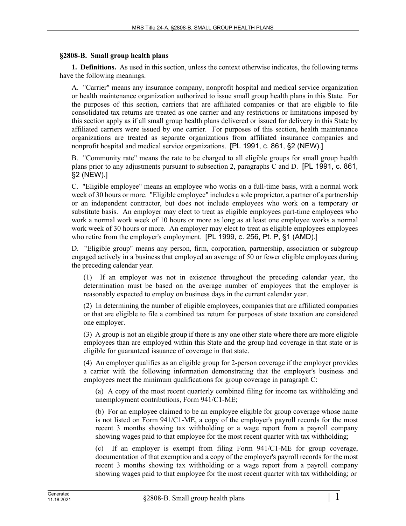## **§2808-B. Small group health plans**

**1. Definitions.** As used in this section, unless the context otherwise indicates, the following terms have the following meanings.

A. "Carrier" means any insurance company, nonprofit hospital and medical service organization or health maintenance organization authorized to issue small group health plans in this State. For the purposes of this section, carriers that are affiliated companies or that are eligible to file consolidated tax returns are treated as one carrier and any restrictions or limitations imposed by this section apply as if all small group health plans delivered or issued for delivery in this State by affiliated carriers were issued by one carrier. For purposes of this section, health maintenance organizations are treated as separate organizations from affiliated insurance companies and nonprofit hospital and medical service organizations. [PL 1991, c. 861, §2 (NEW).]

B. "Community rate" means the rate to be charged to all eligible groups for small group health plans prior to any adjustments pursuant to subsection 2, paragraphs C and D. [PL 1991, c. 861, §2 (NEW).]

C. "Eligible employee" means an employee who works on a full-time basis, with a normal work week of 30 hours or more. "Eligible employee" includes a sole proprietor, a partner of a partnership or an independent contractor, but does not include employees who work on a temporary or substitute basis. An employer may elect to treat as eligible employees part-time employees who work a normal work week of 10 hours or more as long as at least one employee works a normal work week of 30 hours or more. An employer may elect to treat as eligible employees employees who retire from the employer's employment. [PL 1999, c. 256, Pt. P, §1 (AMD).]

D. "Eligible group" means any person, firm, corporation, partnership, association or subgroup engaged actively in a business that employed an average of 50 or fewer eligible employees during the preceding calendar year.

(1) If an employer was not in existence throughout the preceding calendar year, the determination must be based on the average number of employees that the employer is reasonably expected to employ on business days in the current calendar year.

(2) In determining the number of eligible employees, companies that are affiliated companies or that are eligible to file a combined tax return for purposes of state taxation are considered one employer.

(3) A group is not an eligible group if there is any one other state where there are more eligible employees than are employed within this State and the group had coverage in that state or is eligible for guaranteed issuance of coverage in that state.

(4) An employer qualifies as an eligible group for 2-person coverage if the employer provides a carrier with the following information demonstrating that the employer's business and employees meet the minimum qualifications for group coverage in paragraph C:

(a) A copy of the most recent quarterly combined filing for income tax withholding and unemployment contributions, Form 941/C1-ME;

(b) For an employee claimed to be an employee eligible for group coverage whose name is not listed on Form 941/C1-ME, a copy of the employer's payroll records for the most recent 3 months showing tax withholding or a wage report from a payroll company showing wages paid to that employee for the most recent quarter with tax withholding;

(c) If an employer is exempt from filing Form 941/C1-ME for group coverage, documentation of that exemption and a copy of the employer's payroll records for the most recent 3 months showing tax withholding or a wage report from a payroll company showing wages paid to that employee for the most recent quarter with tax withholding; or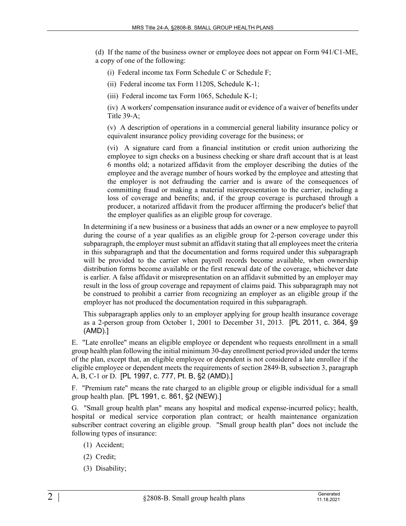(d) If the name of the business owner or employee does not appear on Form 941/C1-ME, a copy of one of the following:

- (i) Federal income tax Form Schedule C or Schedule F;
- (ii) Federal income tax Form 1120S, Schedule K-1;
- (iii) Federal income tax Form 1065, Schedule K-1;

(iv) A workers' compensation insurance audit or evidence of a waiver of benefits under Title  $39-A$ ;

(v) A description of operations in a commercial general liability insurance policy or equivalent insurance policy providing coverage for the business; or

(vi) A signature card from a financial institution or credit union authorizing the employee to sign checks on a business checking or share draft account that is at least 6 months old; a notarized affidavit from the employer describing the duties of the employee and the average number of hours worked by the employee and attesting that the employer is not defrauding the carrier and is aware of the consequences of committing fraud or making a material misrepresentation to the carrier, including a loss of coverage and benefits; and, if the group coverage is purchased through a producer, a notarized affidavit from the producer affirming the producer's belief that the employer qualifies as an eligible group for coverage.

In determining if a new business or a business that adds an owner or a new employee to payroll during the course of a year qualifies as an eligible group for 2-person coverage under this subparagraph, the employer must submit an affidavit stating that all employees meet the criteria in this subparagraph and that the documentation and forms required under this subparagraph will be provided to the carrier when payroll records become available, when ownership distribution forms become available or the first renewal date of the coverage, whichever date is earlier. A false affidavit or misrepresentation on an affidavit submitted by an employer may result in the loss of group coverage and repayment of claims paid. This subparagraph may not be construed to prohibit a carrier from recognizing an employer as an eligible group if the employer has not produced the documentation required in this subparagraph.

This subparagraph applies only to an employer applying for group health insurance coverage as a 2-person group from October 1, 2001 to December 31, 2013. [PL 2011, c. 364, §9 (AMD).]

E. "Late enrollee" means an eligible employee or dependent who requests enrollment in a small group health plan following the initial minimum 30-day enrollment period provided under the terms of the plan, except that, an eligible employee or dependent is not considered a late enrollee if the eligible employee or dependent meets the requirements of section 2849‑B, subsection 3, paragraph A, B, C-1 or D. [PL 1997, c. 777, Pt. B, §2 (AMD).]

F. "Premium rate" means the rate charged to an eligible group or eligible individual for a small group health plan. [PL 1991, c. 861, §2 (NEW).]

G. "Small group health plan" means any hospital and medical expense-incurred policy; health, hospital or medical service corporation plan contract; or health maintenance organization subscriber contract covering an eligible group. "Small group health plan" does not include the following types of insurance:

- (1) Accident;
- (2) Credit;
- (3) Disability;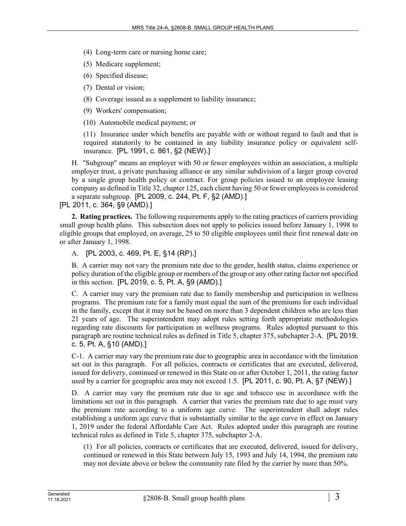- (4) Long-term care or nursing home care;
- (5) Medicare supplement;
- (6) Specified disease;
- (7) Dental or vision;
- (8) Coverage issued as a supplement to liability insurance;
- (9) Workers' compensation;

(10) Automobile medical payment; or

(11) Insurance under which benefits are payable with or without regard to fault and that is required statutorily to be contained in any liability insurance policy or equivalent selfinsurance. [PL 1991, c. 861, §2 (NEW).]

H. "Subgroup" means an employer with 50 or fewer employees within an association, a multiple employer trust, a private purchasing alliance or any similar subdivision of a larger group covered by a single group health policy or contract. For group policies issued to an employee leasing company as defined in Title 32, chapter 125, each client having 50 or fewer employees is considered a separate subgroup. [PL 2009, c. 244, Pt. F, §2 (AMD).]

[PL 2011, c. 364, §9 (AMD).]

**2. Rating practices.** The following requirements apply to the rating practices of carriers providing small group health plans. This subsection does not apply to policies issued before January 1, 1998 to eligible groups that employed, on average, 25 to 50 eligible employees until their first renewal date on or after January 1, 1998.

A. [PL 2003, c. 469, Pt. E, §14 (RP).]

B. A carrier may not vary the premium rate due to the gender, health status, claims experience or policy duration of the eligible group or members of the group or any other rating factor not specified in this section. [PL 2019, c. 5, Pt. A, §9 (AMD).]

C. A carrier may vary the premium rate due to family membership and participation in wellness programs. The premium rate for a family must equal the sum of the premiums for each individual in the family, except that it may not be based on more than 3 dependent children who are less than 21 years of age. The superintendent may adopt rules setting forth appropriate methodologies regarding rate discounts for participation in wellness programs. Rules adopted pursuant to this paragraph are routine technical rules as defined in Title 5, chapter 375, subchapter 2‑A. [PL 2019, c. 5, Pt. A, §10 (AMD).]

C-1. A carrier may vary the premium rate due to geographic area in accordance with the limitation set out in this paragraph. For all policies, contracts or certificates that are executed, delivered, issued for delivery, continued or renewed in this State on or after October 1, 2011, the rating factor used by a carrier for geographic area may not exceed 1.5. [PL 2011, c. 90, Pt. A, §7 (NEW).]

D. A carrier may vary the premium rate due to age and tobacco use in accordance with the limitations set out in this paragraph. A carrier that varies the premium rate due to age must vary the premium rate according to a uniform age curve. The superintendent shall adopt rules establishing a uniform age curve that is substantially similar to the age curve in effect on January 1, 2019 under the federal Affordable Care Act. Rules adopted under this paragraph are routine technical rules as defined in Title 5, chapter 375, subchapter 2‑A.

(1) For all policies, contracts or certificates that are executed, delivered, issued for delivery, continued or renewed in this State between July 15, 1993 and July 14, 1994, the premium rate may not deviate above or below the community rate filed by the carrier by more than 50%.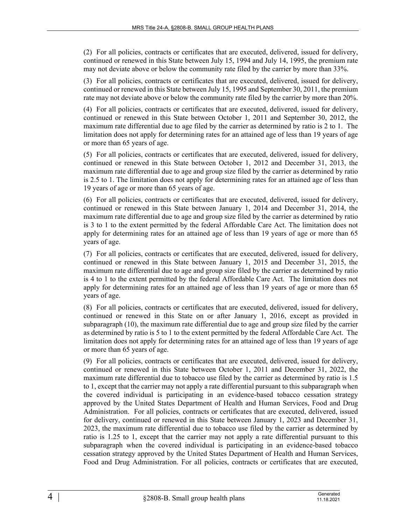(2) For all policies, contracts or certificates that are executed, delivered, issued for delivery, continued or renewed in this State between July 15, 1994 and July 14, 1995, the premium rate may not deviate above or below the community rate filed by the carrier by more than 33%.

(3) For all policies, contracts or certificates that are executed, delivered, issued for delivery, continued or renewed in this State between July 15, 1995 and September 30, 2011, the premium rate may not deviate above or below the community rate filed by the carrier by more than 20%.

(4) For all policies, contracts or certificates that are executed, delivered, issued for delivery, continued or renewed in this State between October 1, 2011 and September 30, 2012, the maximum rate differential due to age filed by the carrier as determined by ratio is 2 to 1. The limitation does not apply for determining rates for an attained age of less than 19 years of age or more than 65 years of age.

(5) For all policies, contracts or certificates that are executed, delivered, issued for delivery, continued or renewed in this State between October 1, 2012 and December 31, 2013, the maximum rate differential due to age and group size filed by the carrier as determined by ratio is 2.5 to 1. The limitation does not apply for determining rates for an attained age of less than 19 years of age or more than 65 years of age.

(6) For all policies, contracts or certificates that are executed, delivered, issued for delivery, continued or renewed in this State between January 1, 2014 and December 31, 2014, the maximum rate differential due to age and group size filed by the carrier as determined by ratio is 3 to 1 to the extent permitted by the federal Affordable Care Act. The limitation does not apply for determining rates for an attained age of less than 19 years of age or more than 65 years of age.

(7) For all policies, contracts or certificates that are executed, delivered, issued for delivery, continued or renewed in this State between January 1, 2015 and December 31, 2015, the maximum rate differential due to age and group size filed by the carrier as determined by ratio is 4 to 1 to the extent permitted by the federal Affordable Care Act. The limitation does not apply for determining rates for an attained age of less than 19 years of age or more than 65 years of age.

(8) For all policies, contracts or certificates that are executed, delivered, issued for delivery, continued or renewed in this State on or after January 1, 2016, except as provided in subparagraph (10), the maximum rate differential due to age and group size filed by the carrier as determined by ratio is 5 to 1 to the extent permitted by the federal Affordable Care Act. The limitation does not apply for determining rates for an attained age of less than 19 years of age or more than 65 years of age.

(9) For all policies, contracts or certificates that are executed, delivered, issued for delivery, continued or renewed in this State between October 1, 2011 and December 31, 2022, the maximum rate differential due to tobacco use filed by the carrier as determined by ratio is 1.5 to 1, except that the carrier may not apply a rate differential pursuant to this subparagraph when the covered individual is participating in an evidence-based tobacco cessation strategy approved by the United States Department of Health and Human Services, Food and Drug Administration. For all policies, contracts or certificates that are executed, delivered, issued for delivery, continued or renewed in this State between January 1, 2023 and December 31, 2023, the maximum rate differential due to tobacco use filed by the carrier as determined by ratio is 1.25 to 1, except that the carrier may not apply a rate differential pursuant to this subparagraph when the covered individual is participating in an evidence-based tobacco cessation strategy approved by the United States Department of Health and Human Services, Food and Drug Administration. For all policies, contracts or certificates that are executed,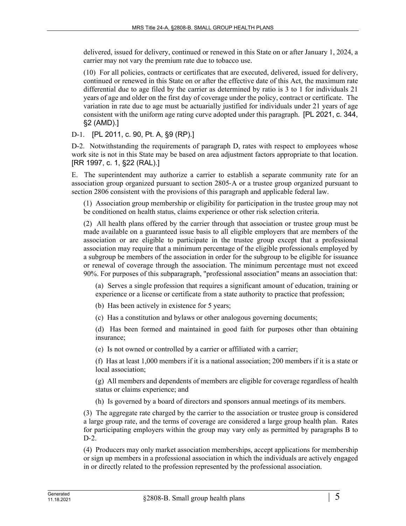delivered, issued for delivery, continued or renewed in this State on or after January 1, 2024, a carrier may not vary the premium rate due to tobacco use.

(10) For all policies, contracts or certificates that are executed, delivered, issued for delivery, continued or renewed in this State on or after the effective date of this Act, the maximum rate differential due to age filed by the carrier as determined by ratio is 3 to 1 for individuals 21 years of age and older on the first day of coverage under the policy, contract or certificate. The variation in rate due to age must be actuarially justified for individuals under 21 years of age consistent with the uniform age rating curve adopted under this paragraph. [PL 2021, c. 344, §2 (AMD).]

D-1. [PL 2011, c. 90, Pt. A, §9 (RP).]

D-2. Notwithstanding the requirements of paragraph D, rates with respect to employees whose work site is not in this State may be based on area adjustment factors appropriate to that location. [RR 1997, c. 1, §22 (RAL).]

E. The superintendent may authorize a carrier to establish a separate community rate for an association group organized pursuant to section 2805‑A or a trustee group organized pursuant to section 2806 consistent with the provisions of this paragraph and applicable federal law.

(1) Association group membership or eligibility for participation in the trustee group may not be conditioned on health status, claims experience or other risk selection criteria.

(2) All health plans offered by the carrier through that association or trustee group must be made available on a guaranteed issue basis to all eligible employers that are members of the association or are eligible to participate in the trustee group except that a professional association may require that a minimum percentage of the eligible professionals employed by a subgroup be members of the association in order for the subgroup to be eligible for issuance or renewal of coverage through the association. The minimum percentage must not exceed 90%. For purposes of this subparagraph, "professional association" means an association that:

(a) Serves a single profession that requires a significant amount of education, training or experience or a license or certificate from a state authority to practice that profession;

(b) Has been actively in existence for 5 years;

(c) Has a constitution and bylaws or other analogous governing documents;

(d) Has been formed and maintained in good faith for purposes other than obtaining insurance;

(e) Is not owned or controlled by a carrier or affiliated with a carrier;

(f) Has at least 1,000 members if it is a national association; 200 members if it is a state or local association;

(g) All members and dependents of members are eligible for coverage regardless of health status or claims experience; and

(h) Is governed by a board of directors and sponsors annual meetings of its members.

(3) The aggregate rate charged by the carrier to the association or trustee group is considered a large group rate, and the terms of coverage are considered a large group health plan. Rates for participating employers within the group may vary only as permitted by paragraphs B to  $D-2$ .

(4) Producers may only market association memberships, accept applications for membership or sign up members in a professional association in which the individuals are actively engaged in or directly related to the profession represented by the professional association.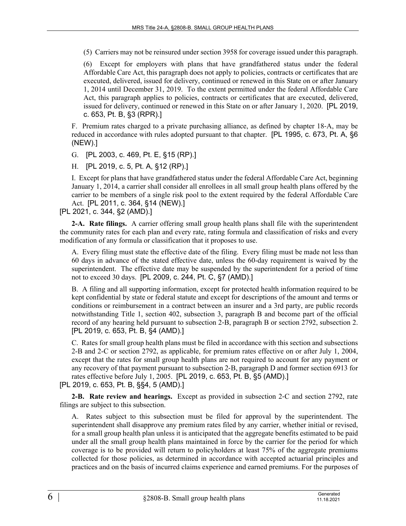(5) Carriers may not be reinsured under section 3958 for coverage issued under this paragraph.

(6) Except for employers with plans that have grandfathered status under the federal Affordable Care Act, this paragraph does not apply to policies, contracts or certificates that are executed, delivered, issued for delivery, continued or renewed in this State on or after January 1, 2014 until December 31, 2019. To the extent permitted under the federal Affordable Care Act, this paragraph applies to policies, contracts or certificates that are executed, delivered, issued for delivery, continued or renewed in this State on or after January 1, 2020. [PL 2019, c. 653, Pt. B, §3 (RPR).]

F. Premium rates charged to a private purchasing alliance, as defined by chapter 18‑A, may be reduced in accordance with rules adopted pursuant to that chapter. [PL 1995, c. 673, Pt. A, §6 (NEW).]

G. [PL 2003, c. 469, Pt. E, §15 (RP).]

H. [PL 2019, c. 5, Pt. A, §12 (RP).]

I. Except for plans that have grandfathered status under the federal Affordable Care Act, beginning January 1, 2014, a carrier shall consider all enrollees in all small group health plans offered by the carrier to be members of a single risk pool to the extent required by the federal Affordable Care Act. [PL 2011, c. 364, §14 (NEW).]

[PL 2021, c. 344, §2 (AMD).]

**2-A. Rate filings.** A carrier offering small group health plans shall file with the superintendent the community rates for each plan and every rate, rating formula and classification of risks and every modification of any formula or classification that it proposes to use.

A. Every filing must state the effective date of the filing. Every filing must be made not less than 60 days in advance of the stated effective date, unless the 60-day requirement is waived by the superintendent. The effective date may be suspended by the superintendent for a period of time not to exceed 30 days. [PL 2009, c. 244, Pt. C, §7 (AMD).]

B. A filing and all supporting information, except for protected health information required to be kept confidential by state or federal statute and except for descriptions of the amount and terms or conditions or reimbursement in a contract between an insurer and a 3rd party, are public records notwithstanding Title 1, section 402, subsection 3, paragraph B and become part of the official record of any hearing held pursuant to subsection 2‑B, paragraph B or section 2792, subsection 2. [PL 2019, c. 653, Pt. B, §4 (AMD).]

C. Rates for small group health plans must be filed in accordance with this section and subsections 2-B and 2-C or section 2792, as applicable, for premium rates effective on or after July 1, 2004, except that the rates for small group health plans are not required to account for any payment or any recovery of that payment pursuant to subsection 2‑B, paragraph D and former section 6913 for rates effective before July 1, 2005. [PL 2019, c. 653, Pt. B, §5 (AMD).]

[PL 2019, c. 653, Pt. B, §§4, 5 (AMD).]

**2-B. Rate review and hearings.** Except as provided in subsection 2‑C and section 2792, rate filings are subject to this subsection.

A. Rates subject to this subsection must be filed for approval by the superintendent. The superintendent shall disapprove any premium rates filed by any carrier, whether initial or revised, for a small group health plan unless it is anticipated that the aggregate benefits estimated to be paid under all the small group health plans maintained in force by the carrier for the period for which coverage is to be provided will return to policyholders at least 75% of the aggregate premiums collected for those policies, as determined in accordance with accepted actuarial principles and practices and on the basis of incurred claims experience and earned premiums. For the purposes of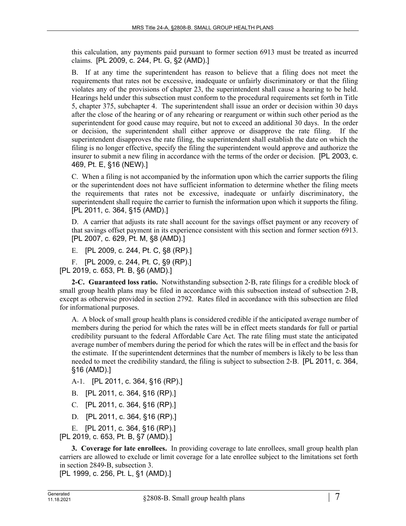this calculation, any payments paid pursuant to former section 6913 must be treated as incurred claims. [PL 2009, c. 244, Pt. G, §2 (AMD).]

B. If at any time the superintendent has reason to believe that a filing does not meet the requirements that rates not be excessive, inadequate or unfairly discriminatory or that the filing violates any of the provisions of chapter 23, the superintendent shall cause a hearing to be held. Hearings held under this subsection must conform to the procedural requirements set forth in Title 5, chapter 375, subchapter 4. The superintendent shall issue an order or decision within 30 days after the close of the hearing or of any rehearing or reargument or within such other period as the superintendent for good cause may require, but not to exceed an additional 30 days. In the order or decision, the superintendent shall either approve or disapprove the rate filing. If the superintendent disapproves the rate filing, the superintendent shall establish the date on which the filing is no longer effective, specify the filing the superintendent would approve and authorize the insurer to submit a new filing in accordance with the terms of the order or decision. [PL 2003, c. 469, Pt. E, §16 (NEW).]

C. When a filing is not accompanied by the information upon which the carrier supports the filing or the superintendent does not have sufficient information to determine whether the filing meets the requirements that rates not be excessive, inadequate or unfairly discriminatory, the superintendent shall require the carrier to furnish the information upon which it supports the filing. [PL 2011, c. 364, §15 (AMD).]

D. A carrier that adjusts its rate shall account for the savings offset payment or any recovery of that savings offset payment in its experience consistent with this section and former section 6913. [PL 2007, c. 629, Pt. M, §8 (AMD).]

E. [PL 2009, c. 244, Pt. C, §8 (RP).]

F. [PL 2009, c. 244, Pt. C, §9 (RP).]

[PL 2019, c. 653, Pt. B, §6 (AMD).]

**2-C. Guaranteed loss ratio.** Notwithstanding subsection 2‑B, rate filings for a credible block of small group health plans may be filed in accordance with this subsection instead of subsection 2–B, except as otherwise provided in section 2792. Rates filed in accordance with this subsection are filed for informational purposes.

A. A block of small group health plans is considered credible if the anticipated average number of members during the period for which the rates will be in effect meets standards for full or partial credibility pursuant to the federal Affordable Care Act. The rate filing must state the anticipated average number of members during the period for which the rates will be in effect and the basis for the estimate. If the superintendent determines that the number of members is likely to be less than needed to meet the credibility standard, the filing is subject to subsection 2‑B. [PL 2011, c. 364, §16 (AMD).]

A-1. [PL 2011, c. 364, §16 (RP).]

- B. [PL 2011, c. 364, §16 (RP).]
- C. [PL 2011, c. 364, §16 (RP).]
- D. [PL 2011, c. 364, §16 (RP).]

E. [PL 2011, c. 364, §16 (RP).] [PL 2019, c. 653, Pt. B, §7 (AMD).]

**3. Coverage for late enrollees.** In providing coverage to late enrollees, small group health plan carriers are allowed to exclude or limit coverage for a late enrollee subject to the limitations set forth in section 2849‑B, subsection 3.

[PL 1999, c. 256, Pt. L, §1 (AMD).]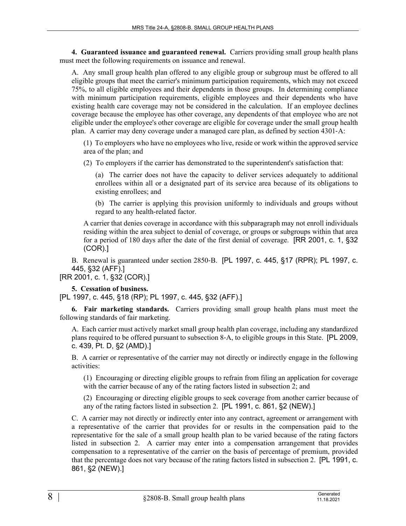**4. Guaranteed issuance and guaranteed renewal.** Carriers providing small group health plans must meet the following requirements on issuance and renewal.

A. Any small group health plan offered to any eligible group or subgroup must be offered to all eligible groups that meet the carrier's minimum participation requirements, which may not exceed 75%, to all eligible employees and their dependents in those groups. In determining compliance with minimum participation requirements, eligible employees and their dependents who have existing health care coverage may not be considered in the calculation. If an employee declines coverage because the employee has other coverage, any dependents of that employee who are not eligible under the employee's other coverage are eligible for coverage under the small group health plan. A carrier may deny coverage under a managed care plan, as defined by section 4301‑A:

(1) To employers who have no employees who live, reside or work within the approved service area of the plan; and

(2) To employers if the carrier has demonstrated to the superintendent's satisfaction that:

(a) The carrier does not have the capacity to deliver services adequately to additional enrollees within all or a designated part of its service area because of its obligations to existing enrollees; and

(b) The carrier is applying this provision uniformly to individuals and groups without regard to any health-related factor.

A carrier that denies coverage in accordance with this subparagraph may not enroll individuals residing within the area subject to denial of coverage, or groups or subgroups within that area for a period of 180 days after the date of the first denial of coverage. [RR 2001, c. 1, §32 (COR).]

B. Renewal is guaranteed under section 2850‑B. [PL 1997, c. 445, §17 (RPR); PL 1997, c. 445, §32 (AFF).]

[RR 2001, c. 1, §32 (COR).]

## **5. Cessation of business.**

[PL 1997, c. 445, §18 (RP); PL 1997, c. 445, §32 (AFF).]

**6. Fair marketing standards.** Carriers providing small group health plans must meet the following standards of fair marketing.

A. Each carrier must actively market small group health plan coverage, including any standardized plans required to be offered pursuant to subsection 8‑A, to eligible groups in this State. [PL 2009, c. 439, Pt. D, §2 (AMD).]

B. A carrier or representative of the carrier may not directly or indirectly engage in the following activities:

(1) Encouraging or directing eligible groups to refrain from filing an application for coverage with the carrier because of any of the rating factors listed in subsection 2; and

(2) Encouraging or directing eligible groups to seek coverage from another carrier because of any of the rating factors listed in subsection 2. [PL 1991, c. 861, §2 (NEW).]

C. A carrier may not directly or indirectly enter into any contract, agreement or arrangement with a representative of the carrier that provides for or results in the compensation paid to the representative for the sale of a small group health plan to be varied because of the rating factors listed in subsection 2. A carrier may enter into a compensation arrangement that provides compensation to a representative of the carrier on the basis of percentage of premium, provided that the percentage does not vary because of the rating factors listed in subsection 2. [PL 1991, c. 861, §2 (NEW).]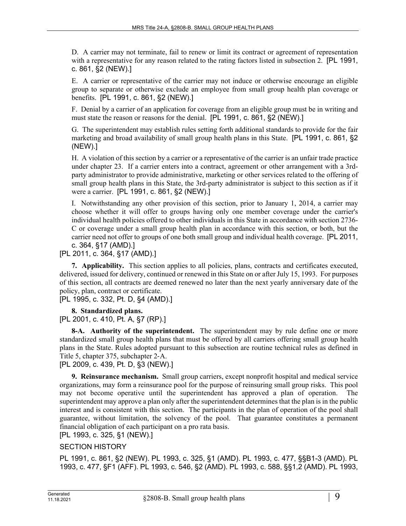D. A carrier may not terminate, fail to renew or limit its contract or agreement of representation with a representative for any reason related to the rating factors listed in subsection 2. [PL 1991, c. 861, §2 (NEW).]

E. A carrier or representative of the carrier may not induce or otherwise encourage an eligible group to separate or otherwise exclude an employee from small group health plan coverage or benefits. [PL 1991, c. 861, §2 (NEW).]

F. Denial by a carrier of an application for coverage from an eligible group must be in writing and must state the reason or reasons for the denial. [PL 1991, c. 861, §2 (NEW).]

G. The superintendent may establish rules setting forth additional standards to provide for the fair marketing and broad availability of small group health plans in this State. [PL 1991, c. 861, §2 (NEW).]

H. A violation of this section by a carrier or a representative of the carrier is an unfair trade practice under chapter 23. If a carrier enters into a contract, agreement or other arrangement with a 3rdparty administrator to provide administrative, marketing or other services related to the offering of small group health plans in this State, the 3rd-party administrator is subject to this section as if it were a carrier. [PL 1991, c. 861, §2 (NEW).]

I. Notwithstanding any other provision of this section, prior to January 1, 2014, a carrier may choose whether it will offer to groups having only one member coverage under the carrier's individual health policies offered to other individuals in this State in accordance with section 2736- C or coverage under a small group health plan in accordance with this section, or both, but the carrier need not offer to groups of one both small group and individual health coverage. [PL 2011, c. 364, §17 (AMD).]

[PL 2011, c. 364, §17 (AMD).]

**7. Applicability.** This section applies to all policies, plans, contracts and certificates executed, delivered, issued for delivery, continued or renewed in this State on or after July 15, 1993. For purposes of this section, all contracts are deemed renewed no later than the next yearly anniversary date of the policy, plan, contract or certificate.

[PL 1995, c. 332, Pt. D, §4 (AMD).]

**8. Standardized plans.** 

[PL 2001, c. 410, Pt. A, §7 (RP).]

**8-A. Authority of the superintendent.** The superintendent may by rule define one or more standardized small group health plans that must be offered by all carriers offering small group health plans in the State. Rules adopted pursuant to this subsection are routine technical rules as defined in Title 5, chapter 375, subchapter 2‑A.

[PL 2009, c. 439, Pt. D, §3 (NEW).]

**9. Reinsurance mechanism.** Small group carriers, except nonprofit hospital and medical service organizations, may form a reinsurance pool for the purpose of reinsuring small group risks. This pool may not become operative until the superintendent has approved a plan of operation. The superintendent may approve a plan only after the superintendent determines that the plan is in the public interest and is consistent with this section. The participants in the plan of operation of the pool shall guarantee, without limitation, the solvency of the pool. That guarantee constitutes a permanent financial obligation of each participant on a pro rata basis.

## [PL 1993, c. 325, §1 (NEW).]

## SECTION HISTORY

PL 1991, c. 861, §2 (NEW). PL 1993, c. 325, §1 (AMD). PL 1993, c. 477, §§B1-3 (AMD). PL 1993, c. 477, §F1 (AFF). PL 1993, c. 546, §2 (AMD). PL 1993, c. 588, §§1,2 (AMD). PL 1993,